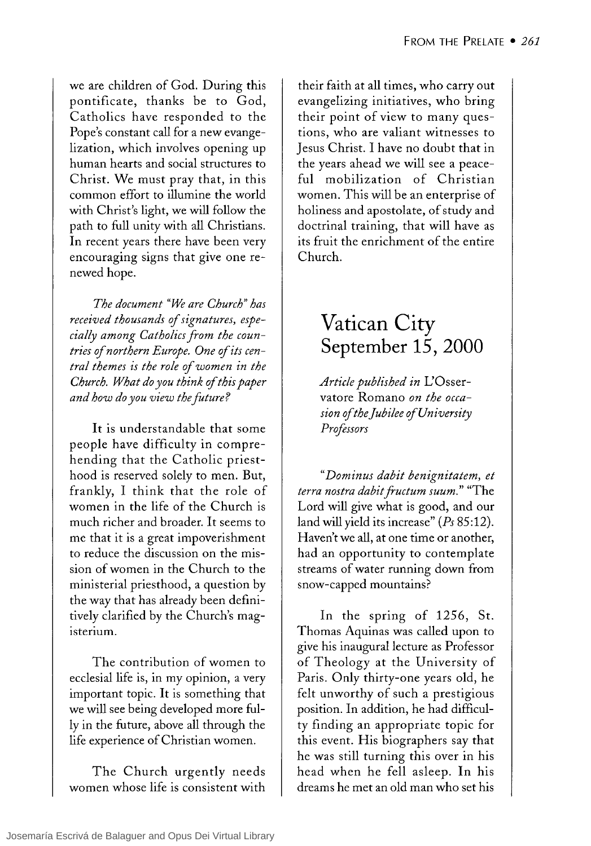we are children of God. During this pontificate, thanks be to God, Catholics have responded to the Pope's constant call for a new evangelization, which involves opening up human hearts and social structures to Christ. We must pray that, in this common effort to illumine the world with Christ's light, we will follow the path to full unity with all Christians. In recent years there have been very encouraging signs that give one renewed hope.

*The document "We are Church" has received thousands of signatures, especially among Catholics from the countries of northern Europe. One of its central themes is the role of women in the Church. What do you think of this paper and how do you view the future?* 

It is understandable that some people have difficulty in comprehending that the Catholic priesthood is reserved solely to men. But, frankly, 1 think that the role of women in the life of the Church is much richer and broader. It seems to me that it is a great impoverishment to reduce the discussion on the mission of women in the Church to the ministerial priesthood, a question by the way that has already been definitively clarified by the Church's magisterium.

The contribution of women to ecclesial life is, in my opinion, a very important topic. It is something that we will see being developed more fully in the future, aboye all through the life experience of Christian women.

The Church urgently needs women whose life is consistent with their faith at all times, who carry out evangelizing initiatives, who bring their point of view to many questions, who are valiant witnesses to Jesus Christ. 1 have no doubt that in the years ahead we will see a peacefuI mobilization of Christian women. This will be an enterprise of holiness and apostolate, of study and doctrinal training, that will have as its fruit the enrichment of the entire Church.

## **Vatican City September 15, 2000**

*Article published in* L'Osservatore Romano *on the occasion oftheJubilee ofUniversity Prrjessors* 

*"Dominus dabit benignitatem, et terra nostra dabit fructum suum."* "The Lord will give what is good, and our land will yield its increase" *(Ps 85:12).*  Haven't we all, at one time or another, had an opportunity to contemplate streams of water running down from snow-capped mountains?

In the spring of  $1256$ , St. Thomas Aquinas was called upon to give his inaugurallecture as Professor of Theology at the University of Paris. Only thirty-one years old, he felt unworthy of such a prestigious position. In addition, he had difficulty finding an appropriate topic for this event. His biographers say that he was still turning this over in his head when he fell asleep. In his dreams he met an old man who set his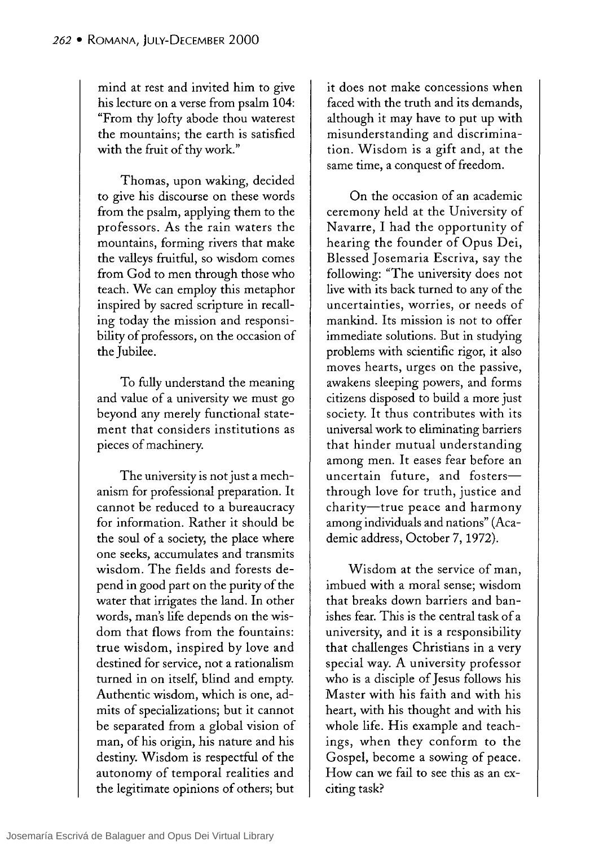mind at rest and invited him to give his lecture on a verse from psalm 104: "From thy lofty abode thou waterest the mountains; the earth is satisfied with the fruit of thy work."

Thomas, upon waking, decided to give his discourse on these words from the psalm, applying them to the professors. As the rain waters the mountains, forming rivers that make the valleys fruitfu1, so wisdom comes from God to men through those who teach. We can employ this metaphor inspired by sacred scripture in recalling today the mission and responsibility of professors, on the occasion of the Jubilee.

To fully understand the meaning and value of a university we must go beyond any merely functional statement that considers institutions as pieces of machinery.

The university is not just a mechanism for professional preparation. It cannot be reduced to a bureaucracy for information. Rather it should be the soul of a society, the place where one seeks, accumulates and transmits wisdom. The fie1ds and forests depend in good part on the purity of the water that irrigates the land. In other words, man's life depends on the wisdom that flows from the fountains: true wisdom, inspired by love and destined for service, not a rationalism turned in on itself, blind and empty. Authentic wisdom, which is one, admits of specializations; but it cannot be separated from a global vision of man, of his origin, his nature and his destiny. Wisdom is respectful of the autonomy of temporal realities and the legitimate opinions of others; but

it does not make concessions when faced with the truth and its demands, although it may have to put up with misunderstanding and discrimination. Wisdom is a gift and, at the same time, a conquest of freedom.

On the occasion of an academic ceremony held at the University of Navarre, I had the opportunity of hearing the founder of Opus Dei, Blessed Josemaria Escriva, say the following: "The university does not live with its back turned to any of the uncertainties, worries, or needs of mankind. Its mission is not to offer immediate solutions. But in studying problems with scientific rigor, it also moves hearts, urges on the passive, awakens sleeping powers, and forms citizens disposed to build a more just society. It thus contributes with its universal work to eliminating barriers that hinder mutual understanding among men. It eases fear before an uncertain future, and fostersthrough love for truth, justice and charity-true peace and harmony among individuals and nations" (Academic address, October 7,1972).

Wisdom at the service of man, imbued with a moral sense; wisdom that breaks down barriers and banishes fear. This is the central task of a university, and it is a responsibility that challenges Christians in a very special way. A university professor who is a disciple of Jesus follows his Master with his faith and with his heart, with his thought and with his whole life. His example and teachings, when they conform to the Gospel, become a sowing of peace. How can we fail to see this as an exciting task?